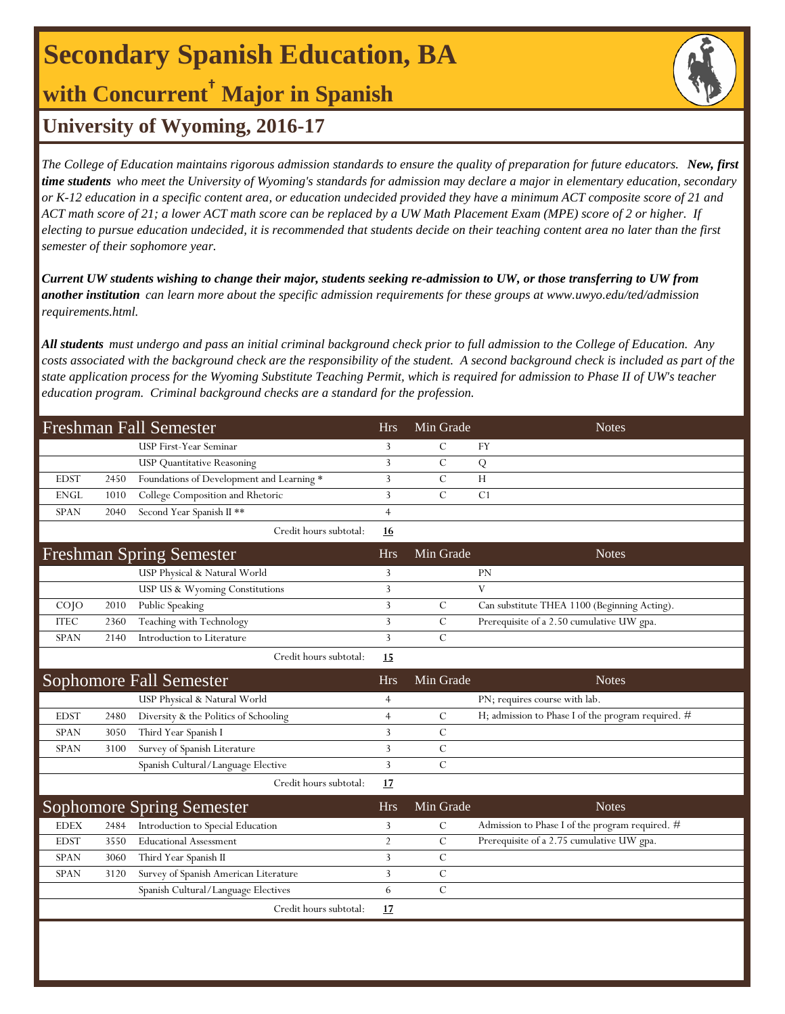# **Secondary Spanish Education, BA**

### **with Concurrent† Major in Spanish**

### **University of Wyoming, 2016-17**

*The College of Education maintains rigorous admission standards to ensure the quality of preparation for future educators. New, first time students who meet the University of Wyoming's standards for admission may declare a major in elementary education, secondary or K-12 education in a specific content area, or education undecided provided they have a minimum ACT composite score of 21 and ACT math score of 21; a lower ACT math score can be replaced by a UW Math Placement Exam (MPE) score of 2 or higher. If electing to pursue education undecided, it is recommended that students decide on their teaching content area no later than the first semester of their sophomore year.*

*Current UW students wishing to change their major, students seeking re-admission to UW, or those transferring to UW from another institution can learn more about the specific admission requirements for these groups at www.uwyo.edu/ted/admission requirements.html.* 

*All students must undergo and pass an initial criminal background check prior to full admission to the College of Education. Any costs associated with the background check are the responsibility of the student. A second background check is included as part of the state application process for the Wyoming Substitute Teaching Permit, which is required for admission to Phase II of UW's teacher education program. Criminal background checks are a standard for the profession.*

| <b>Freshman Fall Semester</b> |      |                                           | <b>Hrs</b>     | Min Grade     | <b>Notes</b>                                       |
|-------------------------------|------|-------------------------------------------|----------------|---------------|----------------------------------------------------|
|                               |      | USP First-Year Seminar                    | 3              | $\mathcal{C}$ | <b>FY</b>                                          |
|                               |      | <b>USP Quantitative Reasoning</b>         | 3              | $\mathcal{C}$ | Q                                                  |
| <b>EDST</b>                   | 2450 | Foundations of Development and Learning * | 3              | C             | H                                                  |
| <b>ENGL</b>                   | 1010 | College Composition and Rhetoric          | 3              | $\mathcal{C}$ | C1                                                 |
| <b>SPAN</b>                   | 2040 | Second Year Spanish II **                 | $\overline{4}$ |               |                                                    |
|                               |      | Credit hours subtotal:                    | 16             |               |                                                    |
|                               |      | <b>Freshman Spring Semester</b>           | <b>Hrs</b>     | Min Grade     | <b>Notes</b>                                       |
|                               |      | USP Physical & Natural World              | 3              |               | PN                                                 |
|                               |      | USP US & Wyoming Constitutions            | 3              |               | V                                                  |
| $CO$ $JO$                     | 2010 | Public Speaking                           | 3              | $\mathcal{C}$ | Can substitute THEA 1100 (Beginning Acting).       |
| <b>ITEC</b>                   | 2360 | Teaching with Technology                  | 3              | $\mathcal{C}$ | Prerequisite of a 2.50 cumulative UW gpa.          |
| <b>SPAN</b>                   | 2140 | Introduction to Literature                | 3              | $\mathcal{C}$ |                                                    |
|                               |      | Credit hours subtotal:                    | 15             |               |                                                    |
|                               |      | <b>Sophomore Fall Semester</b>            | <b>Hrs</b>     | Min Grade     | <b>Notes</b>                                       |
|                               |      | USP Physical & Natural World              | $\overline{4}$ |               | PN; requires course with lab.                      |
| <b>EDST</b>                   | 2480 | Diversity & the Politics of Schooling     | $\overline{4}$ | $\mathcal{C}$ | H; admission to Phase I of the program required. # |
| <b>SPAN</b>                   | 3050 | Third Year Spanish I                      | 3              | $\mathcal{C}$ |                                                    |
| <b>SPAN</b>                   | 3100 | Survey of Spanish Literature              | 3              | $\mathcal{C}$ |                                                    |
|                               |      | Spanish Cultural/Language Elective        | 3              | $\mathcal{C}$ |                                                    |
|                               |      | Credit hours subtotal:                    | 17             |               |                                                    |
|                               |      | <b>Sophomore Spring Semester</b>          | <b>Hrs</b>     | Min Grade     | <b>Notes</b>                                       |
| <b>EDEX</b>                   | 2484 | Introduction to Special Education         | 3              | C             | Admission to Phase I of the program required. #    |
| <b>EDST</b>                   | 3550 | <b>Educational Assessment</b>             | $\overline{2}$ | $\mathcal{C}$ | Prerequisite of a 2.75 cumulative UW gpa.          |
| <b>SPAN</b>                   | 3060 | Third Year Spanish II                     | 3              | $\mathcal{C}$ |                                                    |
| <b>SPAN</b>                   | 3120 | Survey of Spanish American Literature     | 3              | $\mathcal{C}$ |                                                    |
|                               |      | Spanish Cultural/Language Electives       | 6              | $\mathcal{C}$ |                                                    |
|                               |      | Credit hours subtotal:                    | 17             |               |                                                    |
|                               |      |                                           |                |               |                                                    |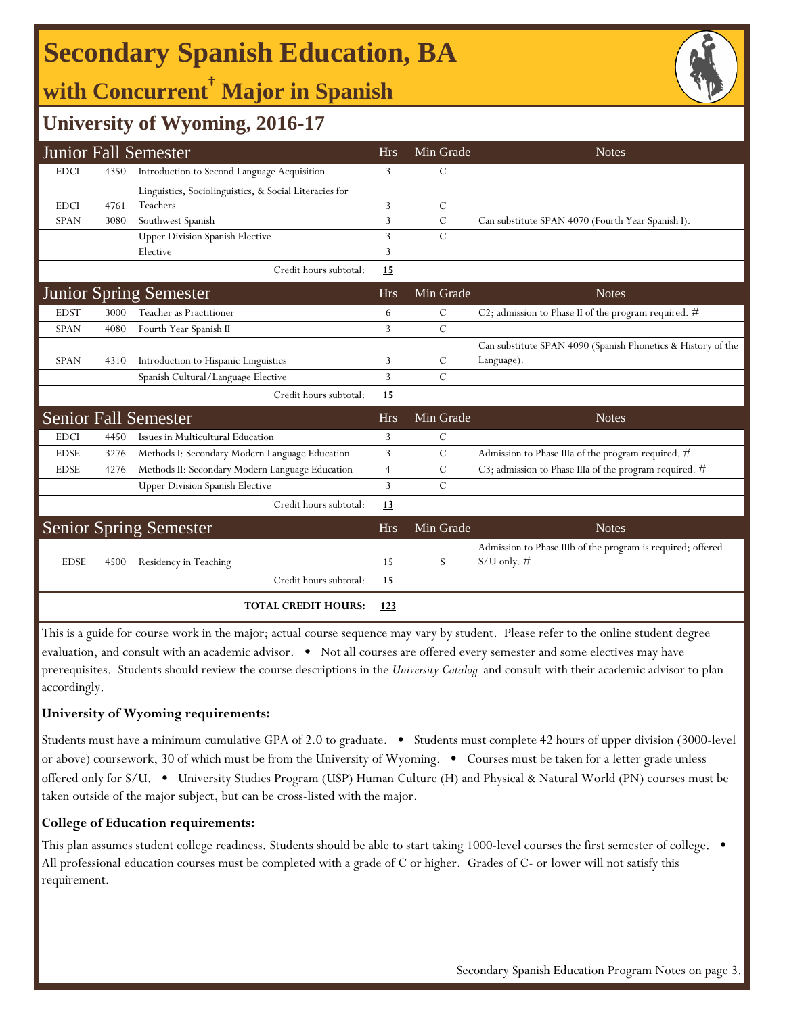# **Secondary Spanish Education, BA**

## **with Concurrent† Major in Spanish**



### **University of Wyoming, 2016-17**

|             |      | <b>Junior Fall Semester</b>                            | <b>Hrs</b>     | Min Grade     | <b>Notes</b>                                                                 |
|-------------|------|--------------------------------------------------------|----------------|---------------|------------------------------------------------------------------------------|
| <b>EDCI</b> | 4350 | Introduction to Second Language Acquisition            | 3              | C             |                                                                              |
|             |      | Linguistics, Sociolinguistics, & Social Literacies for |                |               |                                                                              |
| <b>EDCI</b> | 4761 | Teachers                                               | 3              | C             |                                                                              |
| <b>SPAN</b> | 3080 | Southwest Spanish                                      | $\overline{3}$ | $\mathcal{C}$ | Can substitute SPAN 4070 (Fourth Year Spanish I).                            |
|             |      | <b>Upper Division Spanish Elective</b>                 | 3              | $\mathcal{C}$ |                                                                              |
|             |      | Elective                                               | 3              |               |                                                                              |
|             |      | Credit hours subtotal:                                 | 15             |               |                                                                              |
|             |      | <b>Junior Spring Semester</b>                          | <b>Hrs</b>     | Min Grade     | <b>Notes</b>                                                                 |
| <b>EDST</b> | 3000 | Teacher as Practitioner                                | 6              | C             | C2; admission to Phase II of the program required. #                         |
| <b>SPAN</b> | 4080 | Fourth Year Spanish II                                 | 3              | $\mathcal{C}$ |                                                                              |
|             |      |                                                        |                |               | Can substitute SPAN 4090 (Spanish Phonetics & History of the                 |
| <b>SPAN</b> | 4310 | Introduction to Hispanic Linguistics                   | 3              | C             | Language).                                                                   |
|             |      | Spanish Cultural/Language Elective                     | 3              | $\mathcal{C}$ |                                                                              |
|             |      | Credit hours subtotal:                                 | 15             |               |                                                                              |
|             |      | <b>Senior Fall Semester</b>                            | <b>Hrs</b>     | Min Grade     | <b>Notes</b>                                                                 |
| <b>EDCI</b> | 4450 | Issues in Multicultural Education                      | 3              | С             |                                                                              |
| <b>EDSE</b> | 3276 | Methods I: Secondary Modern Language Education         | 3              | $\mathcal{C}$ | Admission to Phase IIIa of the program required. #                           |
| <b>EDSE</b> | 4276 | Methods II: Secondary Modern Language Education        | $\overline{4}$ | С             | C3; admission to Phase IIIa of the program required. #                       |
|             |      | <b>Upper Division Spanish Elective</b>                 | $\overline{3}$ | $\mathcal{C}$ |                                                                              |
|             |      | Credit hours subtotal:                                 | 13             |               |                                                                              |
|             |      | <b>Senior Spring Semester</b>                          | <b>Hrs</b>     | Min Grade     | <b>Notes</b>                                                                 |
| <b>EDSE</b> | 4500 | Residency in Teaching                                  | 15             | S.            | Admission to Phase IIIb of the program is required; offered<br>$S/U$ only. # |
|             |      | Credit hours subtotal:                                 | <u>15</u>      |               |                                                                              |
|             |      | <b>TOTAL CREDIT HOURS:</b>                             | 123            |               |                                                                              |

This is a guide for course work in the major; actual course sequence may vary by student. Please refer to the online student degree evaluation, and consult with an academic advisor. • Not all courses are offered every semester and some electives may have prerequisites. Students should review the course descriptions in the *University Catalog* and consult with their academic advisor to plan accordingly.

#### **University of Wyoming requirements:**

Students must have a minimum cumulative GPA of 2.0 to graduate. • Students must complete 42 hours of upper division (3000-level or above) coursework, 30 of which must be from the University of Wyoming. • Courses must be taken for a letter grade unless offered only for S/U. • University Studies Program (USP) Human Culture (H) and Physical & Natural World (PN) courses must be taken outside of the major subject, but can be cross-listed with the major.

#### **College of Education requirements:**

This plan assumes student college readiness. Students should be able to start taking 1000-level courses the first semester of college. All professional education courses must be completed with a grade of C or higher. Grades of C- or lower will not satisfy this requirement.